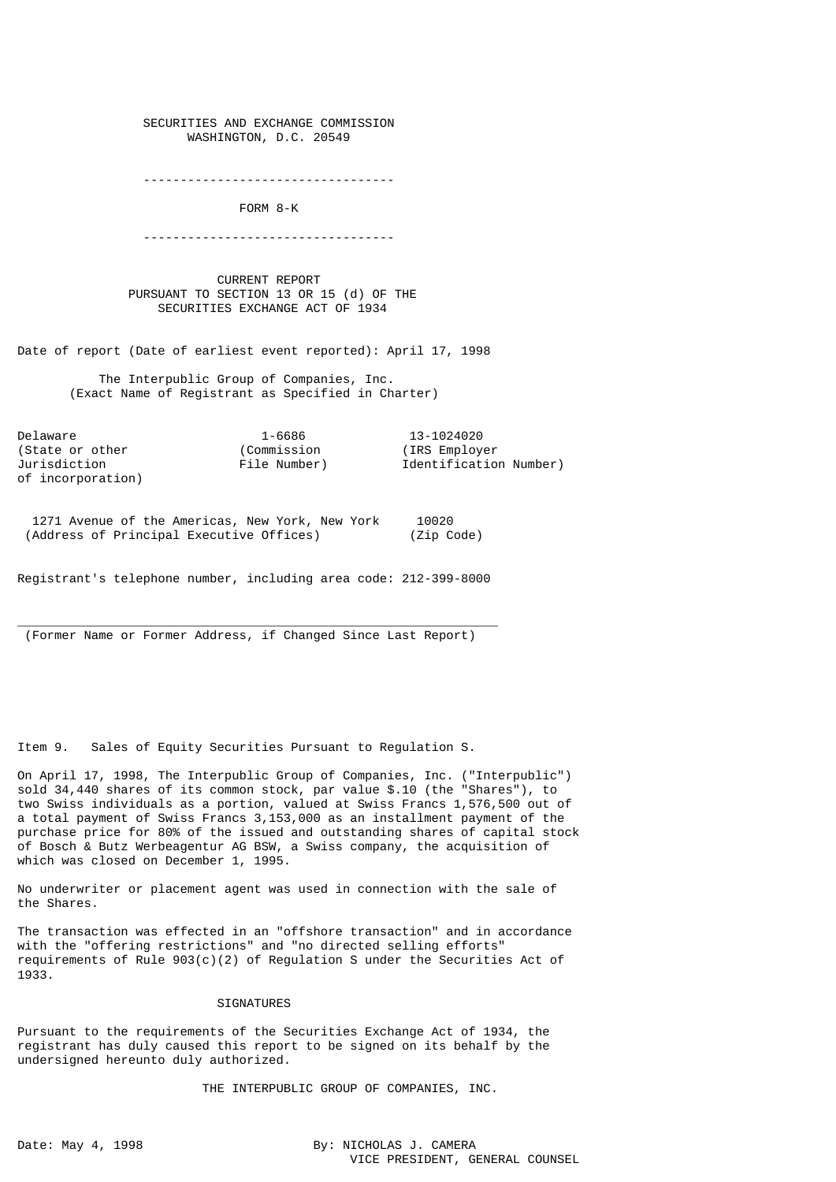SECURITIES AND EXCHANGE COMMISSION WASHINGTON, D.C. 20549

----------------------------------

FORM 8-K

----------------------------------

 CURRENT REPORT PURSUANT TO SECTION 13 OR 15 (d) OF THE SECURITIES EXCHANGE ACT OF 1934

Date of report (Date of earliest event reported): April 17, 1998

 The Interpublic Group of Companies, Inc. (Exact Name of Registrant as Specified in Charter)

Delaware 1-6686 13-1024020<br>(State or other (Commission (IRS Employer) (State or other of incorporation)

Jurisdiction File Number) Identification Number)

 1271 Avenue of the Americas, New York, New York 10020 (Address of Principal Executive Offices) (Zip Code)

Registrant's telephone number, including area code: 212-399-8000

 $\overline{\phantom{a}}$  , and the set of the set of the set of the set of the set of the set of the set of the set of the set of the set of the set of the set of the set of the set of the set of the set of the set of the set of the s (Former Name or Former Address, if Changed Since Last Report)

Item 9. Sales of Equity Securities Pursuant to Regulation S.

On April 17, 1998, The Interpublic Group of Companies, Inc. ("Interpublic") sold 34,440 shares of its common stock, par value \$.10 (the "Shares"), to two Swiss individuals as a portion, valued at Swiss Francs 1,576,500 out of a total payment of Swiss Francs 3,153,000 as an installment payment of the purchase price for 80% of the issued and outstanding shares of capital stock of Bosch & Butz Werbeagentur AG BSW, a Swiss company, the acquisition of which was closed on December 1, 1995.

No underwriter or placement agent was used in connection with the sale of the Shares.

The transaction was effected in an "offshore transaction" and in accordance with the "offering restrictions" and "no directed selling efforts" requirements of Rule  $903(c)(2)$  of Regulation S under the Securities Act of 1933.

## SIGNATURES

Pursuant to the requirements of the Securities Exchange Act of 1934, the registrant has duly caused this report to be signed on its behalf by the undersigned hereunto duly authorized.

THE INTERPUBLIC GROUP OF COMPANIES, INC.